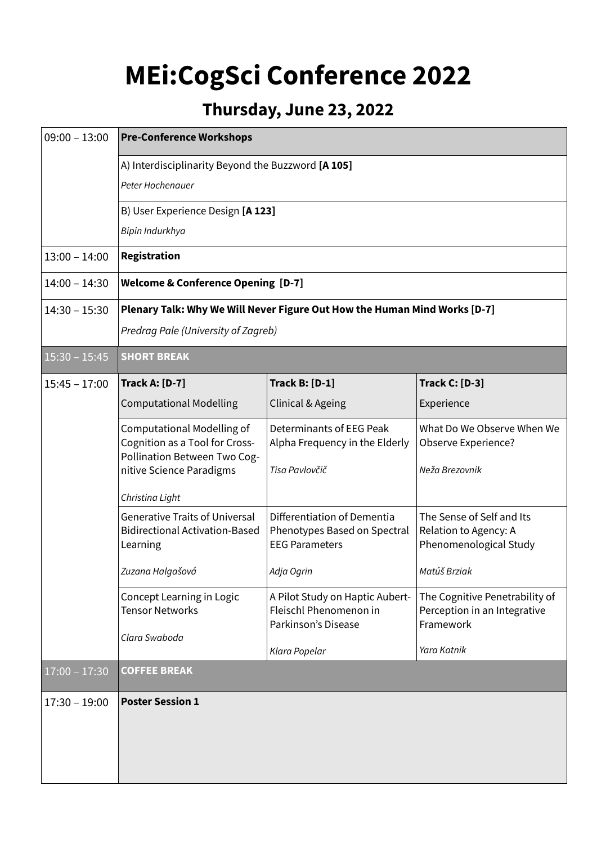## **MEi:CogSci Conference 2022**

## **Thursday, June 23, 2022**

| $09:00 - 13:00$ | <b>Pre-Conference Workshops</b>                                                                                                 |                                                                                      |                                                                              |  |
|-----------------|---------------------------------------------------------------------------------------------------------------------------------|--------------------------------------------------------------------------------------|------------------------------------------------------------------------------|--|
|                 | A) Interdisciplinarity Beyond the Buzzword [A 105]<br>Peter Hochenauer                                                          |                                                                                      |                                                                              |  |
|                 | B) User Experience Design [A 123]                                                                                               |                                                                                      |                                                                              |  |
|                 | Bipin Indurkhya                                                                                                                 |                                                                                      |                                                                              |  |
| $13:00 - 14:00$ | Registration                                                                                                                    |                                                                                      |                                                                              |  |
| $14:00 - 14:30$ | <b>Welcome &amp; Conference Opening [D-7]</b>                                                                                   |                                                                                      |                                                                              |  |
| $14:30 - 15:30$ | Plenary Talk: Why We Will Never Figure Out How the Human Mind Works [D-7]<br>Predrag Pale (University of Zagreb)                |                                                                                      |                                                                              |  |
| $15:30 - 15:45$ | <b>SHORT BREAK</b>                                                                                                              |                                                                                      |                                                                              |  |
| $15:45 - 17:00$ | <b>Track A: [D-7]</b>                                                                                                           | <b>Track B: [D-1]</b>                                                                | <b>Track C: [D-3]</b>                                                        |  |
|                 | <b>Computational Modelling</b>                                                                                                  | Clinical & Ageing                                                                    | Experience                                                                   |  |
|                 | <b>Computational Modelling of</b><br>Cognition as a Tool for Cross-<br>Pollination Between Two Cog-<br>nitive Science Paradigms | Determinants of EEG Peak<br>Alpha Frequency in the Elderly<br>Tisa Pavlovčič         | What Do We Observe When We<br>Observe Experience?<br>Neža Brezovnik          |  |
|                 | Christina Light                                                                                                                 |                                                                                      |                                                                              |  |
|                 | <b>Generative Traits of Universal</b><br><b>Bidirectional Activation-Based</b><br>Learning                                      | Differentiation of Dementia<br>Phenotypes Based on Spectral<br><b>EEG Parameters</b> | The Sense of Self and Its<br>Relation to Agency: A<br>Phenomenological Study |  |
|                 | Zuzana Halgašová                                                                                                                | Adja Ogrin                                                                           | Matúš Brziak                                                                 |  |
|                 | Concept Learning in Logic<br><b>Tensor Networks</b><br>Clara Swaboda                                                            | A Pilot Study on Haptic Aubert-<br>Fleischl Phenomenon in<br>Parkinson's Disease     | The Cognitive Penetrability of<br>Perception in an Integrative<br>Framework  |  |
|                 |                                                                                                                                 | Klara Popelar                                                                        | Yara Katnik                                                                  |  |
| $17:00 - 17:30$ | <b>COFFEE BREAK</b>                                                                                                             |                                                                                      |                                                                              |  |
| $17:30 - 19:00$ | <b>Poster Session 1</b>                                                                                                         |                                                                                      |                                                                              |  |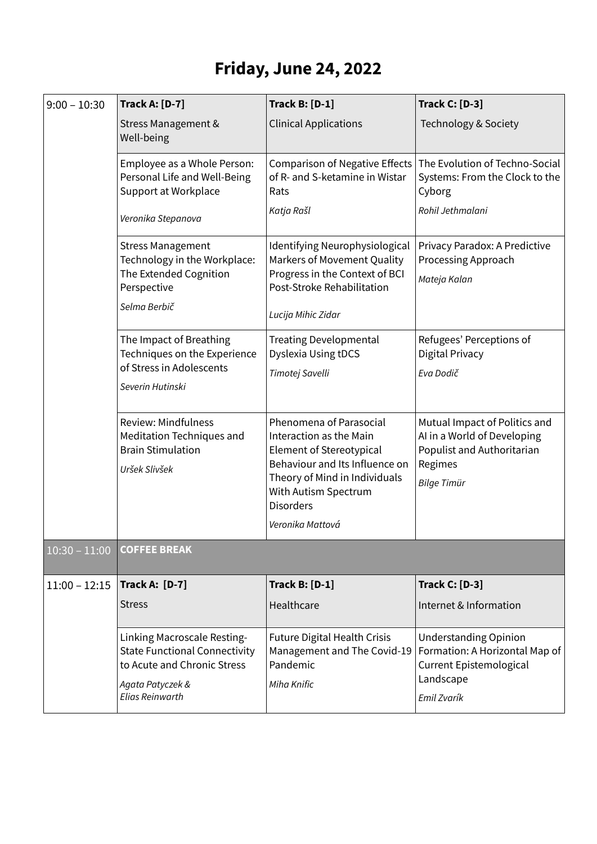## **Friday, June 24, 2022**

| <b>Track A: [D-7]</b>                                                                                                                     | <b>Track B: [D-1]</b>                                                                                                                                                                                                    | <b>Track C: [D-3]</b>                                                                                                       |
|-------------------------------------------------------------------------------------------------------------------------------------------|--------------------------------------------------------------------------------------------------------------------------------------------------------------------------------------------------------------------------|-----------------------------------------------------------------------------------------------------------------------------|
| Stress Management &<br>Well-being                                                                                                         | <b>Clinical Applications</b>                                                                                                                                                                                             | Technology & Society                                                                                                        |
| Employee as a Whole Person:<br>Personal Life and Well-Being<br>Support at Workplace                                                       | <b>Comparison of Negative Effects</b><br>of R- and S-ketamine in Wistar<br>Rats                                                                                                                                          | The Evolution of Techno-Social<br>Systems: From the Clock to the<br>Cyborg                                                  |
| Veronika Stepanova                                                                                                                        | Katja Rašl                                                                                                                                                                                                               | Rohil Jethmalani                                                                                                            |
| <b>Stress Management</b><br>Technology in the Workplace:<br>The Extended Cognition<br>Perspective                                         | Identifying Neurophysiological<br>Markers of Movement Quality<br>Progress in the Context of BCI<br>Post-Stroke Rehabilitation                                                                                            | Privacy Paradox: A Predictive<br>Processing Approach<br>Mateja Kalan                                                        |
| Selma Berbič                                                                                                                              | Lucija Mihic Zidar                                                                                                                                                                                                       |                                                                                                                             |
| The Impact of Breathing<br>Techniques on the Experience<br>of Stress in Adolescents<br>Severin Hutinski                                   | <b>Treating Developmental</b><br>Dyslexia Using tDCS<br>Timotej Savelli                                                                                                                                                  | Refugees' Perceptions of<br>Digital Privacy<br>Eva Dodič                                                                    |
| <b>Review: Mindfulness</b><br>Meditation Techniques and<br><b>Brain Stimulation</b><br>Uršek Slivšek                                      | Phenomena of Parasocial<br>Interaction as the Main<br><b>Element of Stereotypical</b><br>Behaviour and Its Influence on<br>Theory of Mind in Individuals<br>With Autism Spectrum<br><b>Disorders</b><br>Veronika Mattová | Mutual Impact of Politics and<br>AI in a World of Developing<br>Populist and Authoritarian<br>Regimes<br><b>Bilge Timür</b> |
| <b>COFFEE BREAK</b>                                                                                                                       |                                                                                                                                                                                                                          |                                                                                                                             |
| <b>Track A: [D-7]</b>                                                                                                                     | <b>Track B: [D-1]</b>                                                                                                                                                                                                    | <b>Track C: [D-3]</b>                                                                                                       |
| <b>Stress</b>                                                                                                                             | Healthcare                                                                                                                                                                                                               | Internet & Information                                                                                                      |
| Linking Macroscale Resting-<br><b>State Functional Connectivity</b><br>to Acute and Chronic Stress<br>Agata Patyczek &<br>Elias Reinwarth | Future Digital Health Crisis<br>Management and The Covid-19<br>Pandemic<br>Miha Knific                                                                                                                                   | <b>Understanding Opinion</b><br>Formation: A Horizontal Map of<br>Current Epistemological<br>Landscape<br>Emil Zvarík       |
|                                                                                                                                           |                                                                                                                                                                                                                          |                                                                                                                             |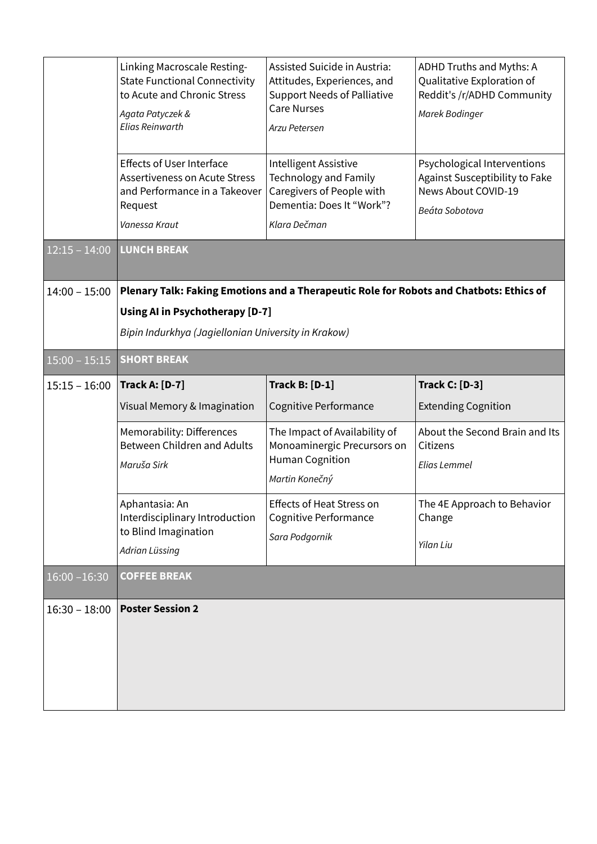|                 | Linking Macroscale Resting-                                                             | Assisted Suicide in Austria:                              | ADHD Truths and Myths: A                              |
|-----------------|-----------------------------------------------------------------------------------------|-----------------------------------------------------------|-------------------------------------------------------|
|                 | <b>State Functional Connectivity</b>                                                    | Attitudes, Experiences, and                               | Qualitative Exploration of                            |
|                 | to Acute and Chronic Stress                                                             | <b>Support Needs of Palliative</b><br><b>Care Nurses</b>  | Reddit's /r/ADHD Community                            |
|                 | Agata Patyczek &<br><b>Elias Reinwarth</b>                                              | Arzu Petersen                                             | Marek Bodinger                                        |
|                 |                                                                                         |                                                           |                                                       |
|                 | <b>Effects of User Interface</b>                                                        | Intelligent Assistive                                     | Psychological Interventions                           |
|                 | <b>Assertiveness on Acute Stress</b><br>and Performance in a Takeover                   | <b>Technology and Family</b><br>Caregivers of People with | Against Susceptibility to Fake<br>News About COVID-19 |
|                 | Request                                                                                 | Dementia: Does It "Work"?                                 | Beáta Sobotova                                        |
|                 | Vanessa Kraut                                                                           | Klara Dečman                                              |                                                       |
| $12:15 - 14:00$ | <b>LUNCH BREAK</b>                                                                      |                                                           |                                                       |
|                 |                                                                                         |                                                           |                                                       |
| $14:00 - 15:00$ | Plenary Talk: Faking Emotions and a Therapeutic Role for Robots and Chatbots: Ethics of |                                                           |                                                       |
|                 | <b>Using AI in Psychotherapy [D-7]</b>                                                  |                                                           |                                                       |
|                 | Bipin Indurkhya (Jagiellonian University in Krakow)                                     |                                                           |                                                       |
| $15:00 - 15:15$ | <b>SHORT BREAK</b>                                                                      |                                                           |                                                       |
| $15:15 - 16:00$ | <b>Track A: [D-7]</b>                                                                   | <b>Track B: [D-1]</b>                                     | <b>Track C: [D-3]</b>                                 |
|                 | Visual Memory & Imagination                                                             | Cognitive Performance                                     | <b>Extending Cognition</b>                            |
|                 | Memorability: Differences                                                               | The Impact of Availability of                             | About the Second Brain and Its                        |
|                 | Between Children and Adults                                                             | Monoaminergic Precursors on<br><b>Human Cognition</b>     | Citizens                                              |
|                 | Maruša Sirk                                                                             | Martin Konečný                                            | Elias Lemmel                                          |
|                 |                                                                                         |                                                           |                                                       |
|                 | Aphantasia: An<br>Interdisciplinary Introduction                                        | Effects of Heat Stress on<br><b>Cognitive Performance</b> | The 4E Approach to Behavior<br>Change                 |
|                 | to Blind Imagination                                                                    | Sara Podgornik                                            |                                                       |
|                 | Adrian Lüssing                                                                          |                                                           | Yilan Liu                                             |
| $16:00 - 16:30$ | <b>COFFEE BREAK</b>                                                                     |                                                           |                                                       |
| $16:30 - 18:00$ | <b>Poster Session 2</b>                                                                 |                                                           |                                                       |
|                 |                                                                                         |                                                           |                                                       |
|                 |                                                                                         |                                                           |                                                       |
|                 |                                                                                         |                                                           |                                                       |
|                 |                                                                                         |                                                           |                                                       |
|                 |                                                                                         |                                                           |                                                       |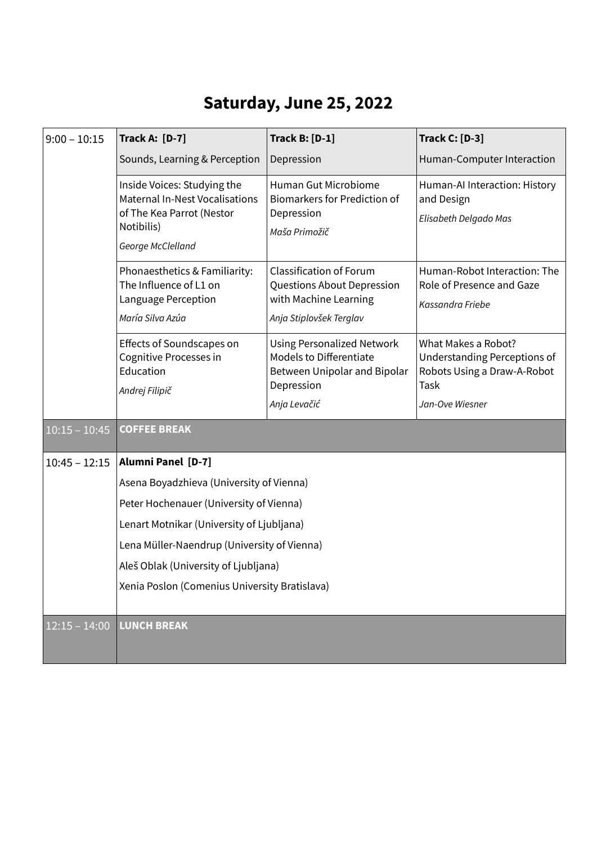## **Saturday, June 25, 2022**

| $9:00 - 10:15$  | <b>Track A: [D-7]</b>                                                                                                                                                       | <b>Track B: [D-1]</b>                                                                                                             | <b>Track C: [D-3]</b>                                                                                         |  |
|-----------------|-----------------------------------------------------------------------------------------------------------------------------------------------------------------------------|-----------------------------------------------------------------------------------------------------------------------------------|---------------------------------------------------------------------------------------------------------------|--|
|                 | Sounds, Learning & Perception                                                                                                                                               | Depression                                                                                                                        | Human-Computer Interaction                                                                                    |  |
|                 | Inside Voices: Studying the<br><b>Maternal In-Nest Vocalisations</b><br>of The Kea Parrot (Nestor<br>Notibilis)<br>George McClelland                                        | Human Gut Microbiome<br><b>Biomarkers for Prediction of</b><br>Depression<br>Maša Primožič                                        | Human-Al Interaction: History<br>and Design<br>Elisabeth Delgado Mas                                          |  |
|                 | Phonaesthetics & Familiarity:<br>The Influence of L1 on<br>Language Perception<br>María Silva Azúa                                                                          | <b>Classification of Forum</b><br>Questions About Depression<br>with Machine Learning<br>Anja Stiplovšek Terglav                  | Human-Robot Interaction: The<br>Role of Presence and Gaze<br>Kassandra Friebe                                 |  |
|                 | Effects of Soundscapes on<br>Cognitive Processes in<br>Education<br>Andrej Filipič                                                                                          | <b>Using Personalized Network</b><br><b>Models to Differentiate</b><br>Between Unipolar and Bipolar<br>Depression<br>Anja Levačić | What Makes a Robot?<br>Understanding Perceptions of<br>Robots Using a Draw-A-Robot<br>Task<br>Jan-Ove Wiesner |  |
| $10:15 - 10:45$ | <b>COFFEE BREAK</b>                                                                                                                                                         |                                                                                                                                   |                                                                                                               |  |
| $10:45 - 12:15$ | <b>Alumni Panel [D-7]</b>                                                                                                                                                   |                                                                                                                                   |                                                                                                               |  |
|                 | Asena Boyadzhieva (University of Vienna)                                                                                                                                    |                                                                                                                                   |                                                                                                               |  |
|                 | Peter Hochenauer (University of Vienna)<br>Lenart Motnikar (University of Ljubljana)<br>Lena Müller-Naendrup (University of Vienna)<br>Aleš Oblak (University of Ljubljana) |                                                                                                                                   |                                                                                                               |  |
|                 |                                                                                                                                                                             |                                                                                                                                   |                                                                                                               |  |
|                 |                                                                                                                                                                             |                                                                                                                                   |                                                                                                               |  |
|                 |                                                                                                                                                                             |                                                                                                                                   |                                                                                                               |  |
|                 | Xenia Poslon (Comenius University Bratislava)                                                                                                                               |                                                                                                                                   |                                                                                                               |  |
| $12:15 - 14:00$ | <b>LUNCH BREAK</b>                                                                                                                                                          |                                                                                                                                   |                                                                                                               |  |